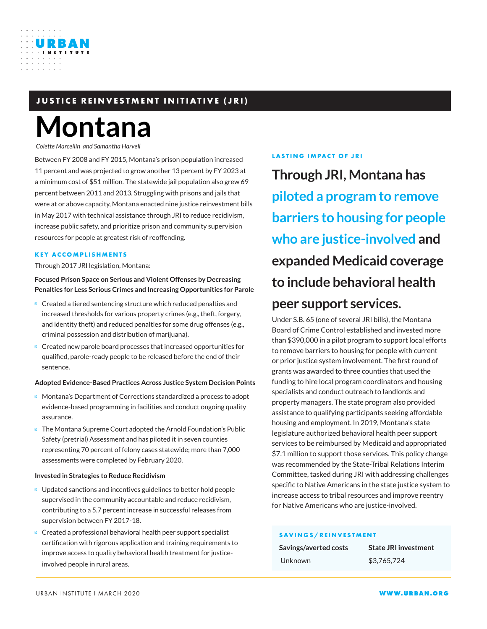## **JUSTICE REINVESTMENT INITIATIVE (JRI)**

# **Montana**

*Colette Marcellin and Samantha Harvell*

URBAN

Between FY 2008 and FY 2015, Montana's prison population increased 11 percent and was projected to grow another 13 percent by FY 2023 at a minimum cost of \$51 million. The statewide jail population also grew 69 percent between 2011 and 2013. Struggling with prisons and jails that were at or above capacity, Montana enacted nine justice reinvestment bills in May 2017 with technical assistance through JRI to reduce recidivism, increase public safety, and prioritize prison and community supervision resources for people at greatest risk of reoffending.

#### **KEY ACCOMPLISHMENTS**

Through 2017 JRI legislation, Montana:

**Focused Prison Space on Serious and Violent Offenses by Decreasing Penalties for Less Serious Crimes and Increasing Opportunities for Parole**

Created a tiered sentencing structure which reduced penalties and increased thresholds for various property crimes (e.g., theft, forgery, and identity theft) and reduced penalties for some drug offenses (e.g., criminal possession and distribution of marijuana).

Created new parole board processes that increased opportunities for qualified, parole-ready people to be released before the end of their sentence.

#### **Adopted Evidence-Based Practices Across Justice System Decision Points**

Montana's Department of Corrections standardized a process to adopt evidence-based programming in facilities and conduct ongoing quality assurance.

The Montana Supreme Court adopted the Arnold Foundation's Public Safety (pretrial) Assessment and has piloted it in seven counties representing 70 percent of felony cases statewide; more than 7,000 assessments were completed by February 2020.

#### **Invested in Strategies to Reduce Recidivism**

Updated sanctions and incentives guidelines to better hold people supervised in the community accountable and reduce recidivism, contributing to a 5.7 percent increase in successful releases from supervision between FY 2017-18.

Created a professional behavioral health peer support specialist certification with rigorous application and training requirements to improve access to quality behavioral health treatment for justiceinvolved people in rural areas.

#### **LASTING IMPACT OF JRI**

**Through JRI, Montana has piloted a program to remove barriers to housing for people who are justice-involved and expanded Medicaid coverage to include behavioral health peer support services.**

Under S.B. 65 (one of several JRI bills), the Montana Board of Crime Control established and invested more than \$390,000 in a pilot program to support local efforts to remove barriers to housing for people with current or prior justice system involvement. The first round of grants was awarded to three counties that used the funding to hire local program coordinators and housing specialists and conduct outreach to landlords and property managers. The state program also provided assistance to qualifying participants seeking affordable housing and employment. In 2019, Montana's state legislature authorized behavioral health peer support services to be reimbursed by Medicaid and appropriated \$7.1 million to support those services. This policy change was recommended by the State-Tribal Relations Interim Committee, tasked during JRI with addressing challenges specific to Native Americans in the state justice system to increase access to tribal resources and improve reentry for Native Americans who are justice-involved.

#### **SAVINGS/REINVESTMENT**

| Savings/averted costs | <b>State JRI investment</b> |
|-----------------------|-----------------------------|
| Unknown               | \$3.765.724                 |